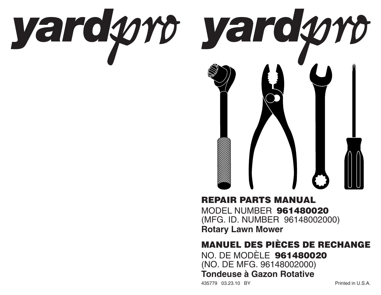

## **REPAIR PARTS MANUAL**MODEL NUMBER **961480020**

(MFG. ID. NUMBER 96148002000) **Rotary Lawn Mower**

## **MANUEL DES PIÈCES DE RECHANGE**

NO. DE MODÈLE **961480020** (NO. DE MFG. 96148002000) **Tondeuse à Gazon Rotative**

435779 03.23.10 BY Printed in U.S.A.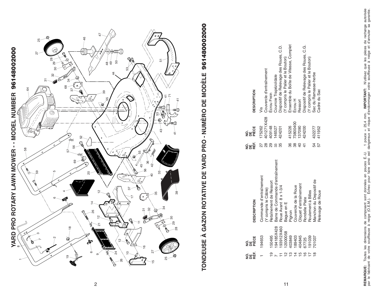

# TONDEUSE À GAZON ROTATIVE DE YARD PRO - NUMÈRO DE MODÈLE 961480002000 **TONDEUSE À GAZON ROTATIVE DE YARD PRO - NUMÈRO DE MODÈLE 961480002000**

| <b>DESCRIPTION</b> | Couvercle d'entraînement                       | <b>Écrou Frein</b>     | Courroie Trapézoïdale            | Dispositif de Relevage des Roues, C.D. | Y compris le Palier et le Bouton) | Ensemble du Boîte de Vitesse, Complet | Ecrou H              | Ressort                | Dispositif de Relevage des Roues, C.G. | Y compris le Palier et le Bouton) | Sac du Ramasse-herbe    | Cadre du Sac     |
|--------------------|------------------------------------------------|------------------------|----------------------------------|----------------------------------------|-----------------------------------|---------------------------------------|----------------------|------------------------|----------------------------------------|-----------------------------------|-------------------------|------------------|
| 망<br>오늘<br>오늘      | 01271X428<br>75262                             | 09148                  | 46527                            | 124201                                 |                                   | 15226                                 | 73800400             | 137090                 | 424200                                 |                                   | 432277                  | 11952            |
| ៜឝ<br>ឨ            | ⊗<br>လ                                         | ღ<br>თ                 | က္တ                              | 35                                     |                                   | .<br>ვ6                               | .<br>ვგ              | $rac{1}{4}$            |                                        |                                   | 54<br>4                 |                  |
| <b>DESCRIPTION</b> | Commande d'entraînement<br>Y compris le Câble) | Retaînement de Ressort | Barre de Commande d'entraînement | Roue Avant 8 x 1-3/4                   | Bague en E                        | Pignon                                | Couvercle de la Roue | Cliquet d'entraînement | Rondelle Plate                         | Roulement à Billes                | Manchon du Depositif de | Relevage de Roue |
| 8일<br>오늘<br>오늘     | 194653                                         | 150495                 | 194185X428                       | 193912X460                             | 2000058                           | 403849                                | 189403               | 404845                 | 67725                                  | 191039                            | 701037                  |                  |
| ឨ៓៓                |                                                |                        |                                  |                                        |                                   |                                       |                      |                        |                                        |                                   |                         |                  |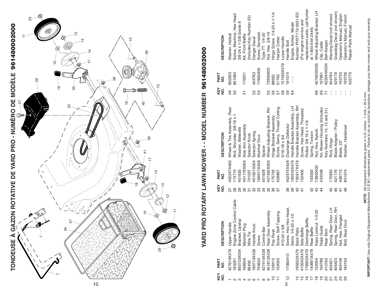

## YARD PRO ROTARY LAWN MOWER - - MODEL NUMBER 96148002000 **YARD PRO ROTARY LAWN MOWER - - MODEL NUMBER 96148002000**

|                       |                             |                              | ∞                    |                   |                          |                 |                          |                |                             |                            |                             |               |                      |                             |                             |                            |                                |                    |                             |                              |                            |                           |                            |                            |                           |                     |
|-----------------------|-----------------------------|------------------------------|----------------------|-------------------|--------------------------|-----------------|--------------------------|----------------|-----------------------------|----------------------------|-----------------------------|---------------|----------------------|-----------------------------|-----------------------------|----------------------------|--------------------------------|--------------------|-----------------------------|------------------------------|----------------------------|---------------------------|----------------------------|----------------------------|---------------------------|---------------------|
| <b>DESCRIPTION</b>    | Washer, Helical             | Screw, Machine, Hex Head     | 3/8-24 x 1-3/8 Grade | Kit, Front Baffle | (Includes Key Number 53) | Danger Decal    | Screw, Serrated,         | Type TT 1/4-20 | Nut, Hex 3/8-16             | Hinge Screw 1/4-20 x 1-1/4 | Hairpin Cotter              | Lower Handle  | Handle Bolt          | Engine, Kohler, Model       | Number PHXT173-0031-ED      | (For engine service and    | replacement parts, call Kohler | at 1-800-544-2444) | Wheel Adjusting Bracket, LH | Clip, Cable                  | <b>Belt Keeper</b>         | Warning Decal (not shown) | Grassbag Decal (not shown) | Operator's Manual, English | Operator's Manual, French | Repair Parts Manual |
| PART<br>$\frac{1}{2}$ | 850263                      | 851084                       |                      | 170031            |                          | 404763          | 17600406                 |                | 73930600                    | 88652                      | 51793                       | 51590X479     | 191574               | $\frac{1}{2}$               |                             |                            |                                |                    | 407493X005                  | 197991                       | 422044X004                 | 404764                    | 429179                     | 93733                      | 193736                    | 435779              |
| KEY<br>NO.            | 49                          | 50                           |                      | 51                |                          | 52              | 53                       |                | 55                          | 56                         | 57                          | 58            |                      | 64                          |                             |                            |                                |                    | 68                          | 69                           |                            |                           |                            |                            |                           |                     |
| <b>DESCRIPTION</b>    | Wheel & Tire Assembly, Rear | Bolt, Shoulder 3/8-16 x      | Washer, Belleville   | Axle Arm Assembly | Selector Knob            | Selector Spring | Mulcher Door             | Spacer         | Wheel Adjusting Bracket, RH | Hinge Bracket Assembly     | Screw, Sems, Thread Cutting | 5/16-18 x 3/4 | Discharge Deflector  | Handle Bracket Assembly, LH | Handle Bracket Assembly, RH | Screw, Hex Head, Threaded, | Rolled 3/8-16 x 1-1/8          | Spring, Torsion    | Nut, Hex, Nylock            | Kit, Mower Housing (Includes | Key Numbers 14, 15 and 51) | Rod, Hinge                | Blade Adapter / Pulley     | Blade, 22"                 | Washer, Hardened          |                     |
| PART<br>o<br>2        | 400247X460                  | 174719                       | 401630               | 401179X004        | 701037                   | 401621X004      | 89917X428                | 401629         | 407492X005                  | 175735                     | 428867                      |               | 402574X428           | 95916X479                   | 95917X479                   | 150406                     |                                | 193000             | 73800400                    | 433548                       |                            | 175650                    | 421176                     | 406713                     | 851074                    |                     |
| KEY<br>$\frac{1}{2}$  | 27                          | 28                           | 29                   | 80                | $\overline{5}$           | 32              | 33                       | ನ್ನ            | 35                          | 36                         | 57                          |               | 88                   | 39                          | $\overline{a}$              | $\frac{4}{1}$              |                                | 42                 | 43                          | $\overline{4}$               |                            | 45                        | 46                         | 47                         | 48                        |                     |
| <b>DESCRIPTION</b>    | Upper Handle                | Control Cable<br>Engine Zone | Bracket, Upstop      | Mulcher Plug      | Wire Tie                 | Handle Knob     | Screw                    | Control Bar    | Rear Door Assembly          | Pop Rivet                  | apping<br>Screw, Self-T     | #10-24 x 5/8  | Screw, Hex Hex Head, | $(x + 1/2)$<br>Sems 1/4-20  | <b>Back Plate</b>           | Side Baffle                | Discharge Baffle               | Rear Baffle        | $1/4-20$<br>Keps Locknu     | Rope Guide                   | Rear Skirt                 | Door, LH<br>Spring, Rear  | Door, RH<br>Spring, Rear   | Nut, Hex, Flanged          | Bolt, Rear Door           |                     |
| PART<br>g             | 427619X479                  | 183281                       | 850733X004           | 166649            | 66426                    | 89713X428       | '50634                   | 427414X428     | 401813X428                  | 28415                      | 50050                       |               | 17060410             |                             | 195622X479                  | I10545X479                 | 76655X479                      | 40661X479          | 32004                       | 94788                        | 413160                     | 405421                    | 405423                     | 409148                     | 184193                    |                     |
| KEY<br>$\dot{9}$      |                             |                              |                      |                   | <b>50 G</b>              |                 | $\overline{\phantom{0}}$ | $\infty$       | ၜ                           |                            |                             |               | $\frac{1}{2}$        |                             |                             |                            | ≌                              |                    | ≌                           | ္                            | 20                         | $\overline{\Omega}$       |                            |                            |                           |                     |

**IMPORTANT:** Use only Original Equipment Manufacturer (O.E.M.) replacement parts. Failure to do so could be hazardous, damage your lawn mower and void your warranty.<br>I**MPORTANT:** Use only Original Equipment Manufacturer ( **IMPORTANT:** Use only Original Equipment Manufacturer (O.E.M.) replacement parts. Failure to do so could be hazardous, damage your lawn mower and void your warranty. **NOTE:** All component dimensions given in U.S. inches. 1 inch = 25.4 mm.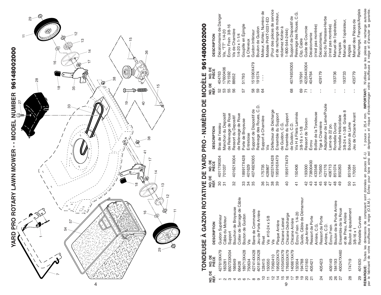

# TONDEUSE À GAZON ROTATIVE DE YARD PRO - NUMÈRO DE MODÈLE 961480002000 **TONDEUSE À GAZON ROTATIVE DE YARD PRO - NUMÈRO DE MODÈLE 961480002000**

|                |                       | ֧֧֧֧֧֧֧֧֧ׅ֧֛֚֚֚֚֚֚֚֚֚֚֓֝֓֓֓֓֓֜֓֜֓֝֓֝֓֜֜֓֜                       |                 |                 | =<br> <br> <br> <br>      |                |                 |                                                                               |
|----------------|-----------------------|-----------------------------------------------------------------|-----------------|-----------------|---------------------------|----------------|-----------------|-------------------------------------------------------------------------------|
| NO. DE<br>RÉF. | <b>NO.DE</b><br>PIÈCE | <b>DESCRIPTION</b>                                              | NO.DE<br>RÉF.   | NO. DE<br>PIÈCE | <b>DESCRIPTION</b>        | NO. DE<br>RÉF. | NO. DE<br>PIÈCE | <b>DESCRIPTION</b>                                                            |
|                | 427619X479            | Guidon Supérieur                                                | 8               | 401179X004      | Bras de l'essieu          | 52             | 404763          | Décalcomanie de Danger                                                        |
|                | 183281                | Câble du Moteur                                                 | 51              | 701037          | Manchon du Depositif      | 53             | 17600406        | Vis, "TT" 1/4-20                                                              |
|                | B50733X004            | Support                                                         |                 |                 | de Relevage de Roue       | 55             | 751592          | Écrou Frein 3/8-16                                                            |
|                | 66649                 | Broyeuse<br>Bouchon de                                          | 32              | 401621X004      | Ressort du Depositif      | 56             | 88652           | Vis de Charnière                                                              |
|                | 66426                 | Collier de Serrage de Câble                                     |                 |                 | de Relevage de Roue       |                |                 | $1/4 - 20 \times 1 - 1/4$                                                     |
|                | 189713X428            | Bouton de Guidon                                                | 33              | 189917X428      | Porte de Broyeuse         | 57             | 51793           | Goupille en Epingle                                                           |
|                | '50634                | vis                                                             | 34              | 401629          | Entretoise                |                |                 | à Cheveux                                                                     |
|                | 427414X428            | Barre de Commande                                               | 35              | 407492X005      | Support de Dispositif de  | 58             | 51590X479       | Guidon Inférieur                                                              |
|                | 401813X428            | Arrière<br>Jeu de Porte                                         |                 |                 | Relevage des Roues, C.D.  | 59             | 191574          | Boulon de Guidon                                                              |
|                | 128415                | Rivet                                                           | 36              | 175735          | Support à Charnière       | 64             | $\frac{1}{1}$   | Moteur, Kohler, Numèro de                                                     |
|                | 50050                 | 5/8<br>Vis #10-24 x                                             | 57              | 428867          | vis                       |                |                 | Modèle PHXT-0031-ED                                                           |
|                | 7060410               | vis                                                             | 38              | 402574X428      | Déflecteur de Décharge    |                |                 | (Pour des pièces de service                                                   |
|                | ത<br>95622X47         | Plaque Arrière                                                  | 39              | 195916X479      | Ensemble du Support       |                |                 | et de rechange de moteur,                                                     |
|                | 410545X479            | Chicane Lateral                                                 |                 |                 | de Guidon, C.G.           |                |                 | éclamez Kohler à                                                              |
| 9              | 76655X479             | Chicane Décharge                                                | $\overline{40}$ | 195917X479      | Ensemble du Support       |                |                 | 1-800-544-2444)                                                               |
|                | 40661X479             | Chicane Arrière                                                 |                 |                 | de Guidon, C.D.           | 68             | 407493X005      | Support de Dispositif de                                                      |
|                | 32004                 | $1/4 - 20$<br>Ecrou Frein                                       | $\overline{4}$  | 150406          | Vis H à Filets Laminés    |                |                 | Relevage des Roues, C.G.                                                      |
|                | 94788                 | de Démarreur<br>Guide, Câble                                    |                 |                 | $3/8 - 16 \times 1 - 1/8$ | 69             | 197991          | Clip, Cable                                                                   |
|                | 113160                | Jupe Arrière                                                    | $\frac{2}{3}$   | 93000           | Ressort de Torsion        |                | 422044X004      | Guide de Courroie                                                             |
|                | 105421                | Ressort de Porte                                                | 43              | 73800400        | Ecrou                     |                | 404764          | Décalcomanie                                                                  |
|                |                       | Arrière, C.G.                                                   | 44              | 433548          | Boîtier de la Tondeuse    |                |                 | (n'est pas montrée)                                                           |
| $\overline{2}$ | 405423                | Ressort de Porte                                                | 45              | 175650          | Tige à Charnière          |                | 429179          | Décalcomanie,                                                                 |
|                |                       | Arrière, C.D.                                                   | 46              | 421176          | Adaptateur de Lame/Poulie |                |                 | Sac du Ramasse-Herbe                                                          |
|                | 409149                | Ecrou Frein                                                     | $\overline{4}$  | 406713          | Lame de 22 po.            |                |                 | (n'est pas montrée)                                                           |
| 26             | 184193                | Porte Arrière<br>Boulon de la                                   | $\frac{8}{4}$   | 851074          | Rondelle Durcie           | l.             | 193736          | Manuel de l'opérateur,                                                        |
|                | 400247X460            | la Roue<br>Ensemble de                                          | 49              | 850263          | Rondelle Hélicoïdale      |                |                 | Français                                                                      |
|                |                       | et de Pneu, Arrière                                             |                 |                 | ∞<br>3/8-24 x 1-3/8 Grade | $\frac{1}{1}$  | 193733          | Manuel de l'opérateur,                                                        |
| $\frac{8}{2}$  | 174719                | Boulon à épaulement                                             | 50              | 851084          | Boulon de Lame            |                |                 | Anglais                                                                       |
|                |                       | $3/8 - 16 \times 1$                                             | 51              | 170031          | Jeu de Chicane Avant      | $\frac{1}{1}$  | 435779          | Manuel des Pièces de                                                          |
| စ္လ            | 401630                | Rondelle Curvée                                                 |                 |                 |                           |                |                 | Rechange, Français/Anglais                                                    |
|                | REMARQUE:             | Toutes les dimensions de composant sont données en pouces É.-U. |                 |                 |                           |                |                 | 1 pouce = 25,4 mm. IMPORTANT: N'utilisez que les pièces de rechange autorisée |

par le fabricant de votre souffleuse à neige (O.E.M.). Echec pour faire ainsi est dangerux et risque d'endommager votre souffleuse à neige et d'annuler sa garantie.<br>Par le fabricant de votre souffleuse à neige (O.E.M.). Éc par le fabricant de votre souffleuse à neige (O.E.M.). Échec pour faire ainsi est dangereux et risque d'endommager votre souffleuse à neige et d'annuler sa garantie.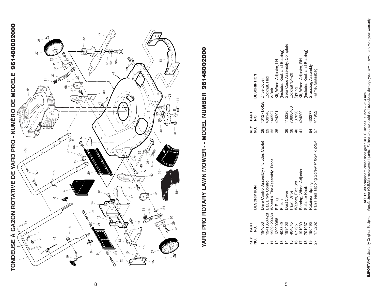

## YARD PRO ROTARY LAWN MOWER - - MODEL NUMBER 96148002000 **YARD PRO ROTARY LAWN MOWER - - MODEL NUMBER 96148002000**

| <b>DESCRIPTION</b> | Locknut, Hex<br>401271X428 Drive Cover                        | /-Belt                                  | Kit, Wheel Adjuster, LH | Includes Knob and Bearing) | Gear Case Assembly, Complete | Locknut 1/4-20 | Spring           | Kit, Wheel Adjuster, RH | Includes Knob and Bearing) | Grassbag Assembly | Frame, Grassbag                       |
|--------------------|---------------------------------------------------------------|-----------------------------------------|-------------------------|----------------------------|------------------------------|----------------|------------------|-------------------------|----------------------------|-------------------|---------------------------------------|
| PART<br>ġ          | 409148                                                        | 146527                                  | 424201                  |                            | 415226                       | 73800400       | 137090           | 424200                  |                            | 432277            | 411952                                |
| key<br>X           | 8<br>28<br>ვ<br>ა                                             | က္တိ                                    | 35                      |                            | 36                           | 88             |                  |                         |                            | 54                |                                       |
| <b>DESCRIPTION</b> | Orive Control Assembly (Includes Cable)<br>Bar, Drive Control | 193912X460 Wheel & Tire Assembly, Front | E-Ring                  | Pinion                     | <b>Dust Cover</b>            | Pawl, Drive    | Washer, Flat 3/8 | Bearing, Wheel Adjuster | Selector Knob              | Retainer, Spring  | Pan Head Tapping Screw #10-24 x 2-3/4 |
| PART<br>g          | I94185X428<br>194653                                          |                                         | 2000058                 | 03849                      | 89403                        | 04845          | 37725            | 91039                   | 01037                      | 50495             | 75262                                 |
| KEY<br>NO.         |                                                               |                                         |                         |                            |                              |                |                  |                         |                            | $\frac{1}{2}$     |                                       |

5

**NOTE:** All component dimensions given in U.S. inches. 1 inch = 25.4 mm. **IMPORTANT:** Use only Original Equipment Manufacturer (O.E.M.) replacement parts. Failure to do so could be hazardous, damage your lawn mower and void your warranty.

8